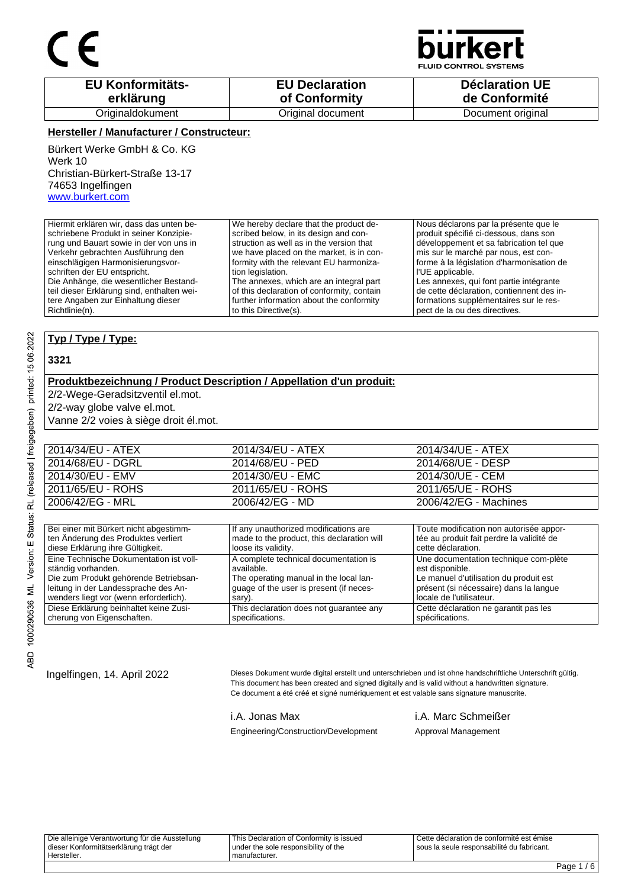

**D CONTROL SYSTEMS** 

| <b>EU Konformitäts-</b> | <b>EU Declaration</b> | <b>Déclaration UE</b> |
|-------------------------|-----------------------|-----------------------|
| erklärung               | of Conformity         | de Conformité         |
| Originaldokument        | Original document     | Document original     |

### **Hersteller / Manufacturer / Constructeur:**

Bürkert Werke GmbH & Co. KG Werk 10 Christian-Bürkert-Straße 13-17 74653 Ingelfingen www.burkert.com

Hiermit erklären wir, dass das unten beschriebene Produkt in seiner Konzipierung und Bauart sowie in der von uns in Verkehr gebrachten Ausführung den einschlägigen Harmonisierungsvorschriften der EU entspricht. Die Anhänge, die wesentlicher Bestandteil dieser Erklärung sind, enthalten weitere Angaben zur Einhaltung dieser Richtlinie(n). We hereby declare that the product described below, in its design and construction as well as in the version that we have placed on the market, is in conformity with the relevant EU harmonization legislation. The annexes, which are an integral part of this declaration of conformity, contain further information about the conformity to this Directive(s). Nous déclarons par la présente que le produit spécifié ci-dessous, dans son développement et sa fabrication tel que mis sur le marché par nous, est conforme à la législation d'harmonisation de l'UE applicable. Les annexes, qui font partie intégrante de cette déclaration, contiennent des informations supplémentaires sur le respect de la ou des directives.

### **Typ / Type / Type:**

### **3321**

### **Produktbezeichnung / Product Description / Appellation d'un produit:**

2/2-Wege-Geradsitzventil el.mot.

2/2-way globe valve el.mot.

Vanne 2/2 voies à siège droit él.mot.

| 2014/34/EU - ATEX | 2014/34/EU - ATEX | 2014/34/UE - ATEX     |
|-------------------|-------------------|-----------------------|
| 2014/68/EU - DGRL | 2014/68/EU - PED  | 2014/68/UE - DESP     |
| 2014/30/EU - EMV  | 2014/30/EU - EMC  | 2014/30/UE - CEM      |
| 2011/65/EU - ROHS | 2011/65/EU - ROHS | 2011/65/UE - ROHS     |
| 2006/42/EG - MRL  | 2006/42/EG - MD   | 2006/42/EG - Machines |

| Bei einer mit Bürkert nicht abgestimm-  | If any unauthorized modifications are      | Toute modification non autorisée appor-   |
|-----------------------------------------|--------------------------------------------|-------------------------------------------|
| ten Änderung des Produktes verliert     | made to the product, this declaration will | tée au produit fait perdre la validité de |
| diese Erklärung ihre Gültigkeit.        | loose its validity.                        | cette déclaration.                        |
| Eine Technische Dokumentation ist voll- | A complete technical documentation is      | Une documentation technique com-plète     |
| ständig vorhanden.                      | available.                                 | est disponible.                           |
| Die zum Produkt gehörende Betriebsan-   | The operating manual in the local lan-     | Le manuel d'utilisation du produit est    |
| leitung in der Landessprache des An-    | guage of the user is present (if neces-    | présent (si nécessaire) dans la langue    |
| wenders liegt vor (wenn erforderlich).  | sary).                                     | locale de l'utilisateur.                  |
| Diese Erklärung beinhaltet keine Zusi-  | This declaration does not quarantee any    | Cette déclaration ne garantit pas les     |
| cherung von Eigenschaften.              | specifications.                            | spécifications.                           |

Ingelfingen, 14. April 2022 Dieses Dokument wurde digital erstellt und unterschrieben und ist ohne handschriftliche Unterschrift gültig. This document has been created and signed digitally and is valid without a handwritten signature. Ce document a été créé et signé numériquement et est valable sans signature manuscrite.

i.A. Jonas Max i.A. Marc Schmeißer

Engineering/Construction/Development Approval Management

Die alleinige Verantwortung für die Ausstellung dieser Konformitätserklärung trägt der Hersteller. This Declaration of Conformity is issued under the sole responsibility of the manufacturer. Cette déclaration de conformité est émise sous la seule responsabilité du fabricant.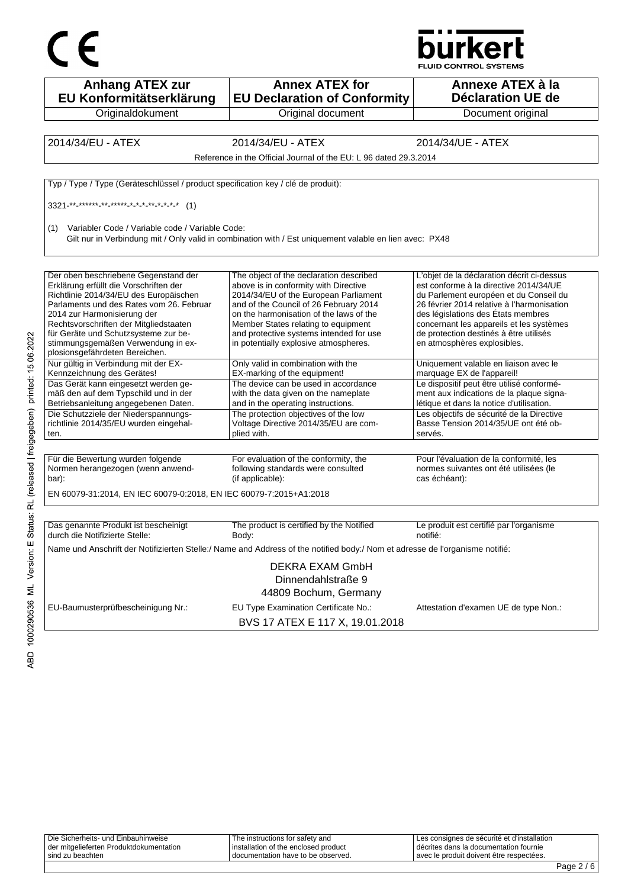



| <b>Anhang ATEX zur</b><br>EU Konformitätserklärung                                                                                                                                                                                                                                    | <b>Annex ATEX for</b><br><b>EU Declaration of Conformity</b>                                                                                                                                                                                                                                     | Annexe ATEX à la<br>Déclaration UE de                                                                                                                                                                                                                                                                    |
|---------------------------------------------------------------------------------------------------------------------------------------------------------------------------------------------------------------------------------------------------------------------------------------|--------------------------------------------------------------------------------------------------------------------------------------------------------------------------------------------------------------------------------------------------------------------------------------------------|----------------------------------------------------------------------------------------------------------------------------------------------------------------------------------------------------------------------------------------------------------------------------------------------------------|
| Originaldokument                                                                                                                                                                                                                                                                      | Original document                                                                                                                                                                                                                                                                                | Document original                                                                                                                                                                                                                                                                                        |
|                                                                                                                                                                                                                                                                                       |                                                                                                                                                                                                                                                                                                  |                                                                                                                                                                                                                                                                                                          |
| 2014/34/EU - ATEX                                                                                                                                                                                                                                                                     | 2014/34/EU - ATEX                                                                                                                                                                                                                                                                                | 2014/34/UE - ATEX                                                                                                                                                                                                                                                                                        |
|                                                                                                                                                                                                                                                                                       | Reference in the Official Journal of the EU: L 96 dated 29.3.2014                                                                                                                                                                                                                                |                                                                                                                                                                                                                                                                                                          |
|                                                                                                                                                                                                                                                                                       |                                                                                                                                                                                                                                                                                                  |                                                                                                                                                                                                                                                                                                          |
| Typ / Type / Type (Geräteschlüssel / product specification key / clé de produit):                                                                                                                                                                                                     |                                                                                                                                                                                                                                                                                                  |                                                                                                                                                                                                                                                                                                          |
| $3321$ <sup>**</sup> ****** ** ***** * * * * * * * * * (1)                                                                                                                                                                                                                            |                                                                                                                                                                                                                                                                                                  |                                                                                                                                                                                                                                                                                                          |
| Variabler Code / Variable code / Variable Code:<br>(1)                                                                                                                                                                                                                                | Gilt nur in Verbindung mit / Only valid in combination with / Est uniquement valable en lien avec: PX48                                                                                                                                                                                          |                                                                                                                                                                                                                                                                                                          |
| Der oben beschriebene Gegenstand der<br>Erklärung erfüllt die Vorschriften der<br>Richtlinie 2014/34/EU des Europäischen<br>Parlaments und des Rates vom 26. Februar<br>2014 zur Harmonisierung der<br>Rechtsvorschriften der Mitgliedstaaten<br>für Geräte und Schutzsysteme zur be- | The object of the declaration described<br>above is in conformity with Directive<br>2014/34/EU of the European Parliament<br>and of the Council of 26 February 2014<br>on the harmonisation of the laws of the<br>Member States relating to equipment<br>and protective systems intended for use | L'objet de la déclaration décrit ci-dessus<br>est conforme à la directive 2014/34/UE<br>du Parlement européen et du Conseil du<br>26 février 2014 relative à l'harmonisation<br>des législations des États membres<br>concernant les appareils et les systèmes<br>de protection destinés à être utilisés |
| stimmungsgemäßen Verwendung in ex-<br>plosionsgefährdeten Bereichen.                                                                                                                                                                                                                  | in potentially explosive atmospheres.                                                                                                                                                                                                                                                            | en atmosphères explosibles.                                                                                                                                                                                                                                                                              |
| Nur gültig in Verbindung mit der EX-<br>Kennzeichnung des Gerätes!                                                                                                                                                                                                                    | Only valid in combination with the<br>EX-marking of the equipment!                                                                                                                                                                                                                               | Uniquement valable en liaison avec le<br>marquage EX de l'appareil!                                                                                                                                                                                                                                      |
| Das Gerät kann eingesetzt werden ge-<br>mäß den auf dem Typschild und in der<br>Betriebsanleitung angegebenen Daten.                                                                                                                                                                  | The device can be used in accordance<br>with the data given on the nameplate<br>and in the operating instructions.                                                                                                                                                                               | Le dispositif peut être utilisé conformé-<br>ment aux indications de la plaque signa-<br>létique et dans la notice d'utilisation.                                                                                                                                                                        |
| Die Schutzziele der Niederspannungs-<br>richtlinie 2014/35/EU wurden eingehal-<br>ten.                                                                                                                                                                                                | The protection objectives of the low<br>Voltage Directive 2014/35/EU are com-<br>plied with.                                                                                                                                                                                                     | Les objectifs de sécurité de la Directive<br>Basse Tension 2014/35/UE ont été ob-<br>servés.                                                                                                                                                                                                             |
|                                                                                                                                                                                                                                                                                       |                                                                                                                                                                                                                                                                                                  |                                                                                                                                                                                                                                                                                                          |
| Für die Bewertung wurden folgende<br>Normen herangezogen (wenn anwend-<br>bar):                                                                                                                                                                                                       | For evaluation of the conformity, the<br>following standards were consulted<br>(if applicable):                                                                                                                                                                                                  | Pour l'évaluation de la conformité, les<br>normes suivantes ont été utilisées (le<br>cas échéant):                                                                                                                                                                                                       |
| EN 60079-31:2014, EN IEC 60079-0:2018, EN IEC 60079-7:2015+A1:2018                                                                                                                                                                                                                    |                                                                                                                                                                                                                                                                                                  |                                                                                                                                                                                                                                                                                                          |
|                                                                                                                                                                                                                                                                                       |                                                                                                                                                                                                                                                                                                  |                                                                                                                                                                                                                                                                                                          |
| Das genannte Produkt ist bescheinigt<br>durch die Notifizierte Stelle:                                                                                                                                                                                                                | The product is certified by the Notified<br>Body:                                                                                                                                                                                                                                                | Le produit est certifié par l'organisme<br>notifié:                                                                                                                                                                                                                                                      |
|                                                                                                                                                                                                                                                                                       | Name und Anschrift der Notifizierten Stelle:/ Name and Address of the notified body:/ Nom et adresse de l'organisme notifié:                                                                                                                                                                     |                                                                                                                                                                                                                                                                                                          |
|                                                                                                                                                                                                                                                                                       | <b>DEKRA EXAM GmbH</b><br>Dinnendahlstraße 9<br>44809 Bochum, Germany                                                                                                                                                                                                                            |                                                                                                                                                                                                                                                                                                          |
| EU-Baumusterprüfbescheinigung Nr.:                                                                                                                                                                                                                                                    | EU Type Examination Certificate No.:<br>BVS 17 ATEX E 117 X, 19.01.2018                                                                                                                                                                                                                          | Attestation d'examen UE de type Non.:                                                                                                                                                                                                                                                                    |

| Die Sicherheits- und Einbauhinweise     | The instructions for safety and      | Les consignes de sécurité et d'installation |  |
|-----------------------------------------|--------------------------------------|---------------------------------------------|--|
| der mitgelieferten Produktdokumentation | installation of the enclosed product | I décrites dans la documentation fournie    |  |
| sind zu beachten                        | I documentation have to be observed. | avec le produit doivent être respectées.    |  |
|                                         |                                      |                                             |  |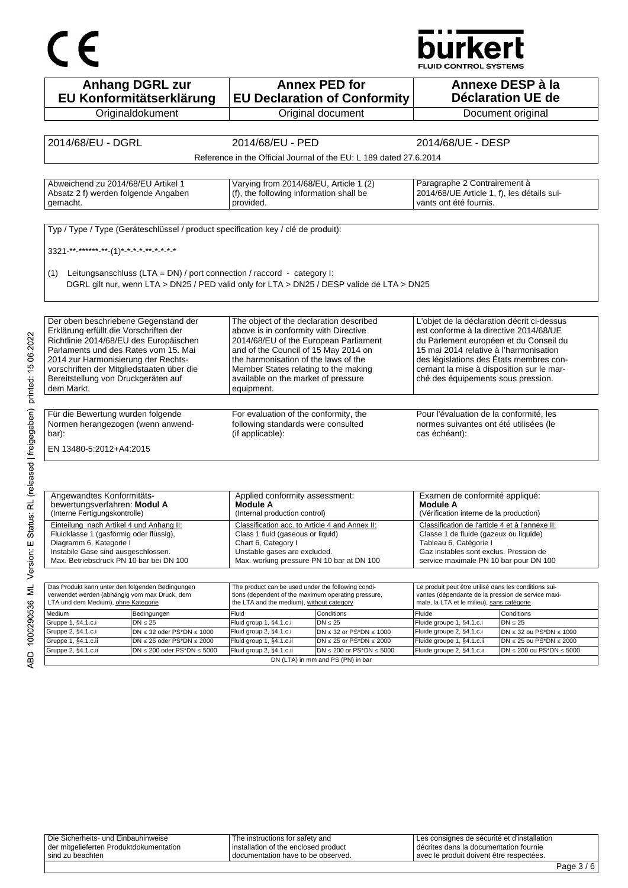# CE

## **burkert**

FLUID CONTROL SYSTEMS

| EU Konformitätserklärung                                                                                                                                                                                                                                                                                                                                                                                                                                                                                                                       | <b>Anhang DGRL zur</b>                                                            |                                                                                                  | <b>Annex PED for</b><br><b>EU Declaration of Conformity</b>                                | Annexe DESP à la                                                                                 | Déclaration UE de                                                    |
|------------------------------------------------------------------------------------------------------------------------------------------------------------------------------------------------------------------------------------------------------------------------------------------------------------------------------------------------------------------------------------------------------------------------------------------------------------------------------------------------------------------------------------------------|-----------------------------------------------------------------------------------|--------------------------------------------------------------------------------------------------|--------------------------------------------------------------------------------------------|--------------------------------------------------------------------------------------------------|----------------------------------------------------------------------|
| Originaldokument                                                                                                                                                                                                                                                                                                                                                                                                                                                                                                                               |                                                                                   |                                                                                                  | Original document                                                                          |                                                                                                  | Document original                                                    |
|                                                                                                                                                                                                                                                                                                                                                                                                                                                                                                                                                |                                                                                   |                                                                                                  |                                                                                            |                                                                                                  |                                                                      |
| 2014/68/EU - DGRL                                                                                                                                                                                                                                                                                                                                                                                                                                                                                                                              |                                                                                   | 2014/68/EU - PED                                                                                 |                                                                                            | 2014/68/UE - DESP                                                                                |                                                                      |
|                                                                                                                                                                                                                                                                                                                                                                                                                                                                                                                                                |                                                                                   |                                                                                                  | Reference in the Official Journal of the EU: L 189 dated 27.6.2014                         |                                                                                                  |                                                                      |
|                                                                                                                                                                                                                                                                                                                                                                                                                                                                                                                                                |                                                                                   |                                                                                                  |                                                                                            |                                                                                                  |                                                                      |
| Abweichend zu 2014/68/EU Artikel 1                                                                                                                                                                                                                                                                                                                                                                                                                                                                                                             |                                                                                   | Varying from 2014/68/EU, Article 1 (2)                                                           |                                                                                            | Paragraphe 2 Contrairement à                                                                     |                                                                      |
| Absatz 2 f) werden folgende Angaben<br>gemacht.                                                                                                                                                                                                                                                                                                                                                                                                                                                                                                |                                                                                   | (f), the following information shall be<br>provided.                                             |                                                                                            | 2014/68/UE Article 1, f), les détails sui-<br>vants ont été fournis.                             |                                                                      |
|                                                                                                                                                                                                                                                                                                                                                                                                                                                                                                                                                |                                                                                   |                                                                                                  |                                                                                            |                                                                                                  |                                                                      |
|                                                                                                                                                                                                                                                                                                                                                                                                                                                                                                                                                | Typ / Type / Type (Geräteschlüssel / product specification key / clé de produit): |                                                                                                  |                                                                                            |                                                                                                  |                                                                      |
| 3321-**-******-**-(1)*-*-*-*-*-*-*-*-*                                                                                                                                                                                                                                                                                                                                                                                                                                                                                                         |                                                                                   |                                                                                                  |                                                                                            |                                                                                                  |                                                                      |
|                                                                                                                                                                                                                                                                                                                                                                                                                                                                                                                                                |                                                                                   |                                                                                                  |                                                                                            |                                                                                                  |                                                                      |
| (1)                                                                                                                                                                                                                                                                                                                                                                                                                                                                                                                                            | Leitungsanschluss (LTA = DN) / port connection / raccord - category I:            |                                                                                                  | DGRL gilt nur, wenn LTA > DN25 / PED valid only for LTA > DN25 / DESP valide de LTA > DN25 |                                                                                                  |                                                                      |
|                                                                                                                                                                                                                                                                                                                                                                                                                                                                                                                                                |                                                                                   |                                                                                                  |                                                                                            |                                                                                                  |                                                                      |
| Der oben beschriebene Gegenstand der                                                                                                                                                                                                                                                                                                                                                                                                                                                                                                           |                                                                                   | The object of the declaration described                                                          |                                                                                            | L'objet de la déclaration décrit ci-dessus                                                       |                                                                      |
| Erklärung erfüllt die Vorschriften der                                                                                                                                                                                                                                                                                                                                                                                                                                                                                                         |                                                                                   | above is in conformity with Directive                                                            |                                                                                            | est conforme à la directive 2014/68/UE                                                           |                                                                      |
| Richtlinie 2014/68/EU des Europäischen                                                                                                                                                                                                                                                                                                                                                                                                                                                                                                         |                                                                                   | 2014/68/EU of the European Parliament                                                            |                                                                                            | du Parlement européen et du Conseil du                                                           |                                                                      |
| Parlaments und des Rates vom 15. Mai<br>2014 zur Harmonisierung der Rechts-                                                                                                                                                                                                                                                                                                                                                                                                                                                                    |                                                                                   | and of the Council of 15 May 2014 on<br>the harmonisation of the laws of the                     |                                                                                            | 15 mai 2014 relative à l'harmonisation<br>des législations des États membres con-                |                                                                      |
| vorschriften der Mitgliedstaaten über die                                                                                                                                                                                                                                                                                                                                                                                                                                                                                                      |                                                                                   | Member States relating to the making                                                             |                                                                                            | cernant la mise à disposition sur le mar-                                                        |                                                                      |
|                                                                                                                                                                                                                                                                                                                                                                                                                                                                                                                                                |                                                                                   | available on the market of pressure                                                              |                                                                                            | ché des équipements sous pression.                                                               |                                                                      |
|                                                                                                                                                                                                                                                                                                                                                                                                                                                                                                                                                |                                                                                   |                                                                                                  |                                                                                            |                                                                                                  |                                                                      |
|                                                                                                                                                                                                                                                                                                                                                                                                                                                                                                                                                |                                                                                   | equipment.                                                                                       |                                                                                            |                                                                                                  |                                                                      |
|                                                                                                                                                                                                                                                                                                                                                                                                                                                                                                                                                |                                                                                   |                                                                                                  |                                                                                            |                                                                                                  |                                                                      |
|                                                                                                                                                                                                                                                                                                                                                                                                                                                                                                                                                |                                                                                   | For evaluation of the conformity, the                                                            |                                                                                            | Pour l'évaluation de la conformité, les                                                          |                                                                      |
|                                                                                                                                                                                                                                                                                                                                                                                                                                                                                                                                                |                                                                                   | following standards were consulted                                                               |                                                                                            | normes suivantes ont été utilisées (le                                                           |                                                                      |
| Bereitstellung von Druckgeräten auf<br>dem Markt.<br>Für die Bewertung wurden folgende<br>Normen herangezogen (wenn anwend-<br>bar):                                                                                                                                                                                                                                                                                                                                                                                                           |                                                                                   | (if applicable):                                                                                 |                                                                                            | cas échéant):                                                                                    |                                                                      |
|                                                                                                                                                                                                                                                                                                                                                                                                                                                                                                                                                |                                                                                   |                                                                                                  |                                                                                            |                                                                                                  |                                                                      |
| EN 13480-5:2012+A4:2015                                                                                                                                                                                                                                                                                                                                                                                                                                                                                                                        |                                                                                   |                                                                                                  |                                                                                            |                                                                                                  |                                                                      |
|                                                                                                                                                                                                                                                                                                                                                                                                                                                                                                                                                |                                                                                   |                                                                                                  |                                                                                            |                                                                                                  |                                                                      |
|                                                                                                                                                                                                                                                                                                                                                                                                                                                                                                                                                |                                                                                   | Applied conformity assessment:<br>Module A                                                       |                                                                                            | Examen de conformité appliqué:<br>Module A                                                       |                                                                      |
|                                                                                                                                                                                                                                                                                                                                                                                                                                                                                                                                                |                                                                                   | (Internal production control)                                                                    |                                                                                            | (Vérification interne de la production)                                                          |                                                                      |
|                                                                                                                                                                                                                                                                                                                                                                                                                                                                                                                                                |                                                                                   | Classification acc. to Article 4 and Annex II:                                                   |                                                                                            | Classification de l'article 4 et à l'annexe II:                                                  |                                                                      |
|                                                                                                                                                                                                                                                                                                                                                                                                                                                                                                                                                |                                                                                   | Class 1 fluid (gaseous or liquid)<br>Chart 6, Category I                                         |                                                                                            | Classe 1 de fluide (gazeux ou liquide)<br>Tableau 6, Catégorie I                                 |                                                                      |
|                                                                                                                                                                                                                                                                                                                                                                                                                                                                                                                                                |                                                                                   | Unstable gases are excluded.                                                                     |                                                                                            | Gaz instables sont exclus. Pression de                                                           |                                                                      |
|                                                                                                                                                                                                                                                                                                                                                                                                                                                                                                                                                |                                                                                   |                                                                                                  | Max. working pressure PN 10 bar at DN 100                                                  | service maximale PN 10 bar pour DN 100                                                           |                                                                      |
|                                                                                                                                                                                                                                                                                                                                                                                                                                                                                                                                                |                                                                                   |                                                                                                  |                                                                                            |                                                                                                  |                                                                      |
|                                                                                                                                                                                                                                                                                                                                                                                                                                                                                                                                                |                                                                                   | The product can be used under the following condi-                                               |                                                                                            | Le produit peut être utilisé dans les conditions sui-                                            |                                                                      |
|                                                                                                                                                                                                                                                                                                                                                                                                                                                                                                                                                |                                                                                   | tions (dependent of the maximum operating pressure,<br>the LTA and the medium), without category |                                                                                            | vantes (dépendante de la pression de service maxi-<br>male, la LTA et le milieu), sans catégorie |                                                                      |
|                                                                                                                                                                                                                                                                                                                                                                                                                                                                                                                                                | Bedingungen                                                                       | Fluid                                                                                            | Conditions                                                                                 | Fluide                                                                                           | Conditions                                                           |
|                                                                                                                                                                                                                                                                                                                                                                                                                                                                                                                                                | $DN \leq 25$                                                                      | Fluid group 1, §4.1.c.i                                                                          | $DN \leq 25$                                                                               | Fluide groupe 1, §4.1.c.i                                                                        | $DN \leq 25$                                                         |
|                                                                                                                                                                                                                                                                                                                                                                                                                                                                                                                                                | $DN \leq 32$ oder PS*DN $\leq 1000$<br>$DN \le 25$ oder PS*DN $\le 2000$          | Fluid group 2, §4.1.c.i                                                                          | DN $\leq$ 32 or PS*DN $\leq$ 1000<br>DN $\leq$ 25 or PS*DN $\leq$ 2000                     | Fluide groupe 2, §4.1.c.i                                                                        | $DN \leq 32$ ou PS*DN $\leq 1000$<br>$DN \le 25$ ou PS*DN $\le 2000$ |
| Angewandtes Konformitäts-<br>bewertungsverfahren: Modul A<br>(Interne Fertigungskontrolle)<br>Einteilung nach Artikel 4 und Anhang II:<br>Fluidklasse 1 (gasförmig oder flüssig),<br>Diagramm 6, Kategorie I<br>Instabile Gase sind ausgeschlossen.<br>Max. Betriebsdruck PN 10 bar bei DN 100<br>Das Produkt kann unter den folgenden Bedingungen<br>verwendet werden (abhängig vom max Druck, dem<br>LTA und dem Medium), ohne Kategorie<br>Medium<br>Gruppe 1, §4.1.c.i<br>Gruppe 2, §4.1.c.i<br>Gruppe 1, §4.1.c.ii<br>Gruppe 2, §4.1.c.ii | $DN \le 200$ oder PS*DN $\le 5000$                                                | Fluid group 1, §4.1.c.ii<br>Fluid group 2, §4.1.c.ii                                             | DN $\leq$ 200 or PS*DN $\leq$ 5000                                                         | Fluide groupe 1, §4.1.c.ii<br>Fluide groupe 2, §4.1.c.ii                                         | $DN \le 200$ ou PS*DN $\le 5000$                                     |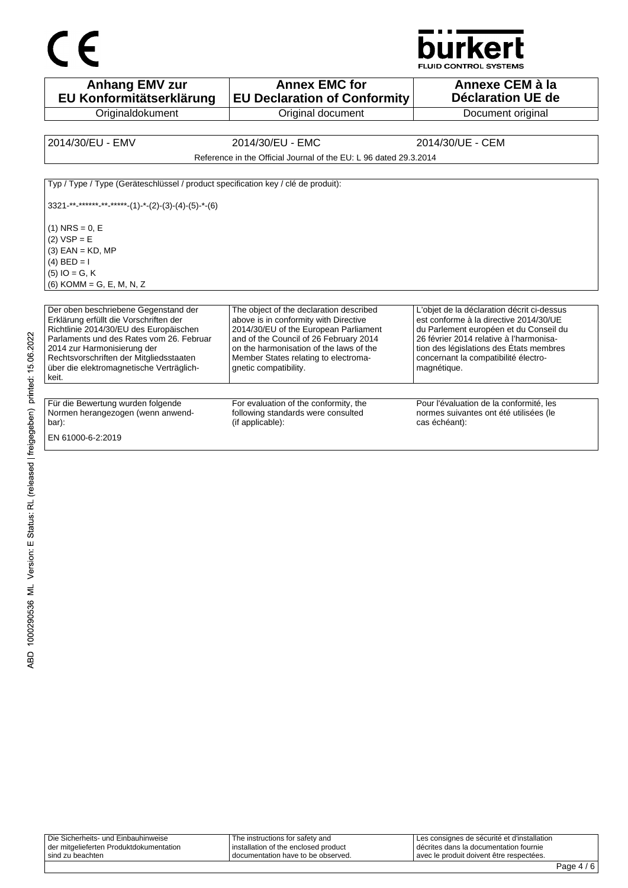

**Anhang EMV zur EU Konformitätserklärung Originaldokument Annex EMC for EU Declaration of Conformity** Original document **Annexe CEM à la Déclaration UE de**  Document original 2014/30/EU - EMV 2014/30/EU - EMC 2014/30/UE - CEM Reference in the Official Journal of the EU: L 96 dated 29.3.2014 Typ / Type / Type (Geräteschlüssel / product specification key / clé de produit):  $3321$ -\*\*-\*\*\*\*\*<sub>-</sub>\*\*-\*\*\*\*-(1)-\*-(2)-(3)-(4)-(5)-\*-(6)  $(1)$  NRS = 0, E  $(2)$  VSP = E  $(3)$  EAN = KD, MP (4)  $BED = I$ (5) IO = G, K (6) KOMM = G, E, M, N, Z Der oben beschriebene Gegenstand der Erklärung erfüllt die Vorschriften der Richtlinie 2014/30/EU des Europäischen Parlaments und des Rates vom 26. Februar 2014 zur Harmonisierung der Rechtsvorschriften der Mitgliedsstaaten über die elektromagnetische Verträglichkeit. The object of the declaration described above is in conformity with Directive 2014/30/EU of the European Parliament and of the Council of 26 February 2014 on the harmonisation of the laws of the Member States relating to electromagnetic compatibility. L'objet de la déclaration décrit ci-dessus est conforme à la directive 2014/30/UE du Parlement européen et du Conseil du 26 février 2014 relative à l'harmonisation des législations des États membres concernant la compatibilité électromagnétique. Für die Bewertung wurden folgende Normen herangezogen (wenn anwendbar): For evaluation of the conformity, the following standards were consulted (if applicable): Pour l'évaluation de la conformité, les normes suivantes ont été utilisées (le cas échéant): EN 61000-6-2:2019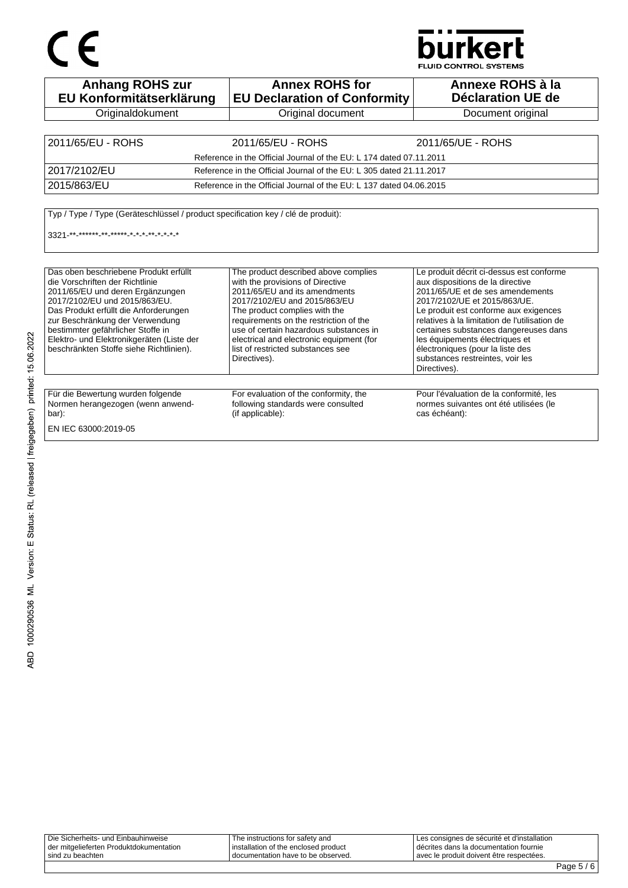# CE

## **burkert**

**FLUID CONTROL SYSTEMS** 

| <b>Anhang ROHS zur</b><br>EU Konformitätserklärung                                                                                                                                                                                                                                                                                                     | <b>Annex ROHS for</b><br><b>EU Declaration of Conformity</b>                                                                                                                                                                                                                                                                                                    | Annexe ROHS à la<br>Déclaration UE de                                                                                                                                                                                                                                                                                                                                                                         |
|--------------------------------------------------------------------------------------------------------------------------------------------------------------------------------------------------------------------------------------------------------------------------------------------------------------------------------------------------------|-----------------------------------------------------------------------------------------------------------------------------------------------------------------------------------------------------------------------------------------------------------------------------------------------------------------------------------------------------------------|---------------------------------------------------------------------------------------------------------------------------------------------------------------------------------------------------------------------------------------------------------------------------------------------------------------------------------------------------------------------------------------------------------------|
| Originaldokument                                                                                                                                                                                                                                                                                                                                       | Original document                                                                                                                                                                                                                                                                                                                                               | Document original                                                                                                                                                                                                                                                                                                                                                                                             |
|                                                                                                                                                                                                                                                                                                                                                        |                                                                                                                                                                                                                                                                                                                                                                 |                                                                                                                                                                                                                                                                                                                                                                                                               |
| 2011/65/EU - ROHS                                                                                                                                                                                                                                                                                                                                      | 2011/65/EU - ROHS                                                                                                                                                                                                                                                                                                                                               | 2011/65/UE - ROHS                                                                                                                                                                                                                                                                                                                                                                                             |
|                                                                                                                                                                                                                                                                                                                                                        | Reference in the Official Journal of the EU: L 174 dated 07.11.2011                                                                                                                                                                                                                                                                                             |                                                                                                                                                                                                                                                                                                                                                                                                               |
| 2017/2102/EU                                                                                                                                                                                                                                                                                                                                           | Reference in the Official Journal of the EU: L 305 dated 21.11.2017                                                                                                                                                                                                                                                                                             |                                                                                                                                                                                                                                                                                                                                                                                                               |
| 2015/863/EU                                                                                                                                                                                                                                                                                                                                            | Reference in the Official Journal of the EU: L 137 dated 04.06.2015                                                                                                                                                                                                                                                                                             |                                                                                                                                                                                                                                                                                                                                                                                                               |
| $3321$ ** ****** ** ***** * * * * * * * *                                                                                                                                                                                                                                                                                                              |                                                                                                                                                                                                                                                                                                                                                                 |                                                                                                                                                                                                                                                                                                                                                                                                               |
| Das oben beschriebene Produkt erfüllt<br>die Vorschriften der Richtlinie<br>2011/65/EU und deren Ergänzungen<br>2017/2102/EU und 2015/863/EU.<br>Das Produkt erfüllt die Anforderungen<br>zur Beschränkung der Verwendung<br>bestimmter gefährlicher Stoffe in<br>Elektro- und Elektronikgeräten (Liste der<br>beschränkten Stoffe siehe Richtlinien). | The product described above complies<br>with the provisions of Directive<br>2011/65/EU and its amendments<br>2017/2102/EU and 2015/863/EU<br>The product complies with the<br>requirements on the restriction of the<br>use of certain hazardous substances in<br>electrical and electronic equipment (for<br>list of restricted substances see<br>Directives). | Le produit décrit ci-dessus est conforme<br>aux dispositions de la directive<br>2011/65/UE et de ses amendements<br>2017/2102/UE et 2015/863/UE.<br>Le produit est conforme aux exigences<br>relatives à la limitation de l'utilisation de<br>certaines substances dangereuses dans<br>les équipements électriques et<br>électroniques (pour la liste des<br>substances restreintes, voir les<br>Directives). |
| Für die Bewertung wurden folgende<br>Normen herangezogen (wenn anwend-<br>bar):<br>EN IEC 63000:2019-05                                                                                                                                                                                                                                                | For evaluation of the conformity, the<br>following standards were consulted<br>(if applicable):                                                                                                                                                                                                                                                                 | Pour l'évaluation de la conformité, les<br>normes suivantes ont été utilisées (le<br>cas échéant):                                                                                                                                                                                                                                                                                                            |

Die Sicherheits- und Einbauhinweise der mitgelieferten Produktdokumentation sind zu beachten The instructions for safety and installation of the enclosed product documentation have to be observed. Les consignes de sécurité et d'installation décrites dans la documentation fournie avec le produit doivent être respectées.